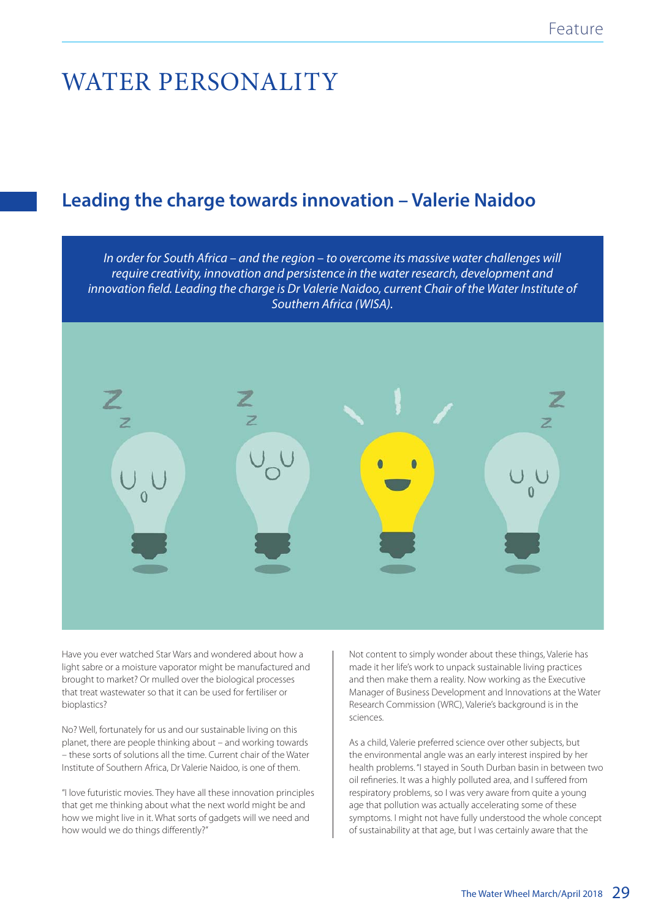# WATER PERSONALITY

# **Leading the charge towards innovation – Valerie Naidoo**

In order for South Africa – and the region – to overcome its massive water challenges will require creativity, innovation and persistence in the water research, development and innovation field. Leading the charge is Dr Valerie Naidoo, current Chair of the Water Institute of Southern Africa (WISA).

Have you ever watched Star Wars and wondered about how a light sabre or a moisture vaporator might be manufactured and brought to market? Or mulled over the biological processes that treat wastewater so that it can be used for fertiliser or bioplastics?

No? Well, fortunately for us and our sustainable living on this planet, there are people thinking about – and working towards – these sorts of solutions all the time. Current chair of the Water Institute of Southern Africa, Dr Valerie Naidoo, is one of them.

"I love futuristic movies. They have all these innovation principles that get me thinking about what the next world might be and how we might live in it. What sorts of gadgets will we need and how would we do things differently?"

Not content to simply wonder about these things, Valerie has made it her life's work to unpack sustainable living practices and then make them a reality. Now working as the Executive Manager of Business Development and Innovations at the Water Research Commission (WRC), Valerie's background is in the sciences.

As a child, Valerie preferred science over other subjects, but the environmental angle was an early interest inspired by her health problems. "I stayed in South Durban basin in between two oil refineries. It was a highly polluted area, and I suffered from respiratory problems, so I was very aware from quite a young age that pollution was actually accelerating some of these symptoms. I might not have fully understood the whole concept of sustainability at that age, but I was certainly aware that the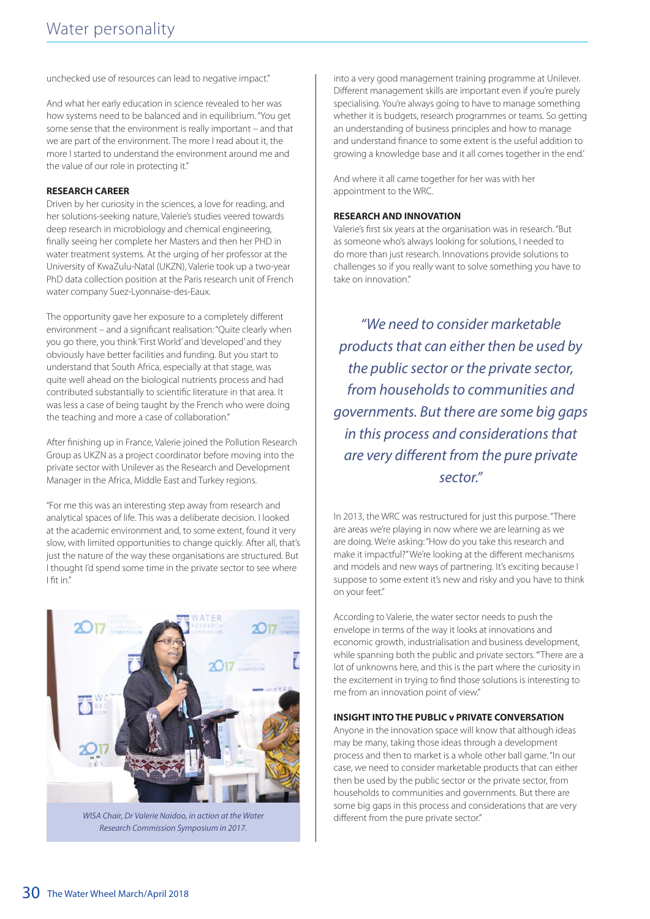unchecked use of resources can lead to negative impact."

And what her early education in science revealed to her was how systems need to be balanced and in equilibrium. "You get some sense that the environment is really important – and that we are part of the environment. The more I read about it, the more I started to understand the environment around me and the value of our role in protecting it."

## **RESEARCH CAREER**

Driven by her curiosity in the sciences, a love for reading, and her solutions-seeking nature, Valerie's studies veered towards deep research in microbiology and chemical engineering, finally seeing her complete her Masters and then her PHD in water treatment systems. At the urging of her professor at the University of KwaZulu-Natal (UKZN), Valerie took up a two-year PhD data collection position at the Paris research unit of French water company Suez-Lyonnaise-des-Eaux.

The opportunity gave her exposure to a completely different environment – and a significant realisation: "Quite clearly when you go there, you think 'First World' and 'developed' and they obviously have better facilities and funding. But you start to understand that South Africa, especially at that stage, was quite well ahead on the biological nutrients process and had contributed substantially to scientific literature in that area. It was less a case of being taught by the French who were doing the teaching and more a case of collaboration."

After finishing up in France, Valerie joined the Pollution Research Group as UKZN as a project coordinator before moving into the private sector with Unilever as the Research and Development Manager in the Africa, Middle East and Turkey regions.

"For me this was an interesting step away from research and analytical spaces of life. This was a deliberate decision. I looked at the academic environment and, to some extent, found it very slow, with limited opportunities to change quickly. After all, that's just the nature of the way these organisations are structured. But I thought I'd spend some time in the private sector to see where I fit in."



During this time, Valerie's management skills got a boost. "I got Research Commission Symposium in 2017.WISA Chair, Dr Valerie Naidoo, in action at the Water

into a very good management training programme at Unilever. Different management skills are important even if you're purely specialising. You're always going to have to manage something whether it is budgets, research programmes or teams. So getting an understanding of business principles and how to manage and understand finance to some extent is the useful addition to growing a knowledge base and it all comes together in the end.'

And where it all came together for her was with her appointment to the WRC.

#### **RESEARCH AND INNOVATION**

Valerie's first six years at the organisation was in research. "But as someone who's always looking for solutions, I needed to do more than just research. Innovations provide solutions to challenges so if you really want to solve something you have to take on innovation."

"We need to consider marketable products that can either then be used by the public sector or the private sector, from households to communities and governments. But there are some big gaps in this process and considerations that are very different from the pure private sector."

In 2013, the WRC was restructured for just this purpose. "There are areas we're playing in now where we are learning as we are doing. We're asking: "How do you take this research and make it impactful?" We're looking at the different mechanisms and models and new ways of partnering. It's exciting because I suppose to some extent it's new and risky and you have to think on your feet."

According to Valerie, the water sector needs to push the envelope in terms of the way it looks at innovations and economic growth, industrialisation and business development, while spanning both the public and private sectors. "'There are a lot of unknowns here, and this is the part where the curiosity in the excitement in trying to find those solutions is interesting to me from an innovation point of view."

### **INSIGHT INTO THE PUBLIC v PRIVATE CONVERSATION**

Anyone in the innovation space will know that although ideas may be many, taking those ideas through a development process and then to market is a whole other ball game. "In our case, we need to consider marketable products that can either then be used by the public sector or the private sector, from households to communities and governments. But there are some big gaps in this process and considerations that are very different from the pure private sector."